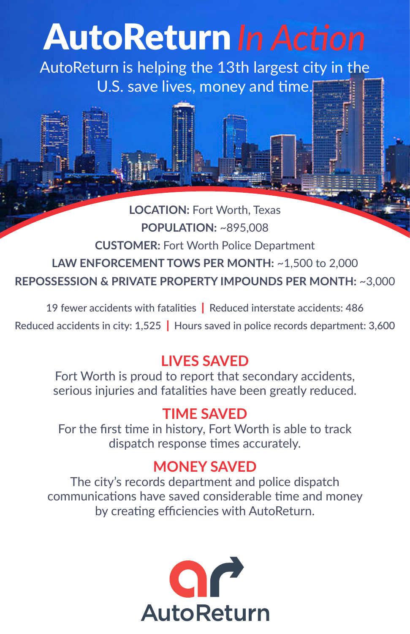# AutoReturn*In Action*

AutoReturn is helping the 13th largest city in the U.S. save lives, money and time.

**LOCATION:** Fort Worth, Texas **POPULATION:** ~895,008 **CUSTOMER:** Fort Worth Police Department **LAW ENFORCEMENT TOWS PER MONTH:** ~1,500 to 2,000 **REPOSSESSION & PRIVATE PROPERTY IMPOUNDS PER MONTH:** ~3,000

19 fewer accidents with fatalities | Reduced interstate accidents: 486 Reduced accidents in city: 1,525 | Hours saved in police records department: 3,600

# **LIVES SAVED**

Fort Worth is proud to report that secondary accidents, serious injuries and fatalities have been greatly reduced.

# **TIME SAVED**

For the first time in history, Fort Worth is able to track dispatch response times accurately.

# **MONEY SAVED**

The city's records department and police dispatch communications have saved considerable time and money by creating efficiencies with AutoReturn.